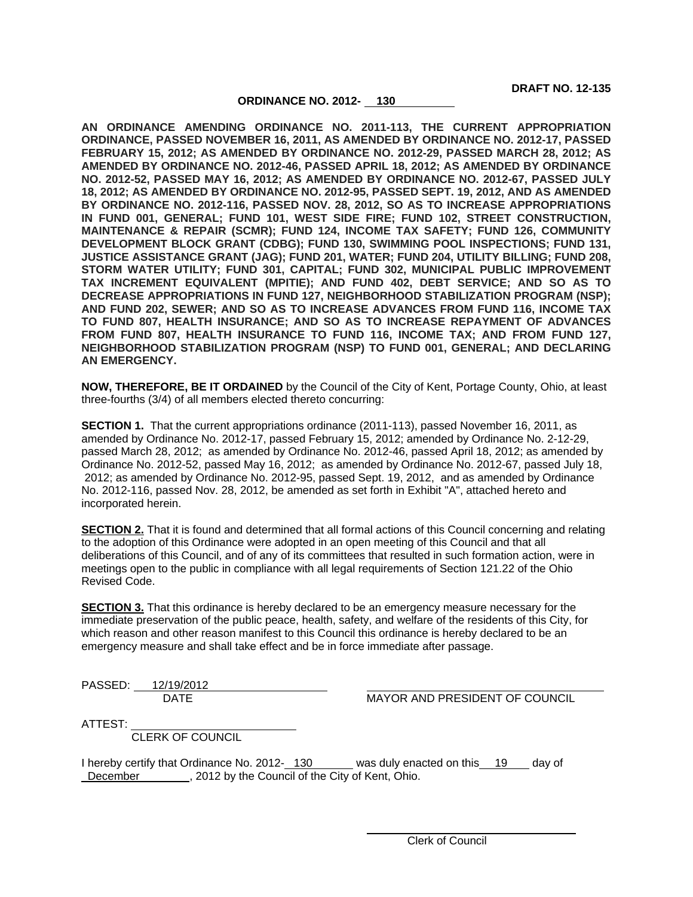### **ORDINANCE NO. 2012- 130**

**AN ORDINANCE AMENDING ORDINANCE NO. 2011-113, THE CURRENT APPROPRIATION ORDINANCE, PASSED NOVEMBER 16, 2011, AS AMENDED BY ORDINANCE NO. 2012-17, PASSED FEBRUARY 15, 2012; AS AMENDED BY ORDINANCE NO. 2012-29, PASSED MARCH 28, 2012; AS AMENDED BY ORDINANCE NO. 2012-46, PASSED APRIL 18, 2012; AS AMENDED BY ORDINANCE NO. 2012-52, PASSED MAY 16, 2012; AS AMENDED BY ORDINANCE NO. 2012-67, PASSED JULY 18, 2012; AS AMENDED BY ORDINANCE NO. 2012-95, PASSED SEPT. 19, 2012, AND AS AMENDED BY ORDINANCE NO. 2012-116, PASSED NOV. 28, 2012, SO AS TO INCREASE APPROPRIATIONS IN FUND 001, GENERAL; FUND 101, WEST SIDE FIRE; FUND 102, STREET CONSTRUCTION, MAINTENANCE & REPAIR (SCMR); FUND 124, INCOME TAX SAFETY; FUND 126, COMMUNITY DEVELOPMENT BLOCK GRANT (CDBG); FUND 130, SWIMMING POOL INSPECTIONS; FUND 131, JUSTICE ASSISTANCE GRANT (JAG); FUND 201, WATER; FUND 204, UTILITY BILLING; FUND 208, STORM WATER UTILITY; FUND 301, CAPITAL; FUND 302, MUNICIPAL PUBLIC IMPROVEMENT TAX INCREMENT EQUIVALENT (MPITIE); AND FUND 402, DEBT SERVICE; AND SO AS TO DECREASE APPROPRIATIONS IN FUND 127, NEIGHBORHOOD STABILIZATION PROGRAM (NSP); AND FUND 202, SEWER; AND SO AS TO INCREASE ADVANCES FROM FUND 116, INCOME TAX TO FUND 807, HEALTH INSURANCE; AND SO AS TO INCREASE REPAYMENT OF ADVANCES FROM FUND 807, HEALTH INSURANCE TO FUND 116, INCOME TAX; AND FROM FUND 127, NEIGHBORHOOD STABILIZATION PROGRAM (NSP) TO FUND 001, GENERAL; AND DECLARING AN EMERGENCY.**

**NOW, THEREFORE, BE IT ORDAINED** by the Council of the City of Kent, Portage County, Ohio, at least three-fourths (3/4) of all members elected thereto concurring:

**SECTION 1.** That the current appropriations ordinance (2011-113), passed November 16, 2011, as amended by Ordinance No. 2012-17, passed February 15, 2012; amended by Ordinance No. 2-12-29, passed March 28, 2012; as amended by Ordinance No. 2012-46, passed April 18, 2012; as amended by Ordinance No. 2012-52, passed May 16, 2012; as amended by Ordinance No. 2012-67, passed July 18, 2012; as amended by Ordinance No. 2012-95, passed Sept. 19, 2012, and as amended by Ordinance No. 2012-116, passed Nov. 28, 2012, be amended as set forth in Exhibit "A", attached hereto and incorporated herein.

**SECTION 2.** That it is found and determined that all formal actions of this Council concerning and relating to the adoption of this Ordinance were adopted in an open meeting of this Council and that all deliberations of this Council, and of any of its committees that resulted in such formation action, were in meetings open to the public in compliance with all legal requirements of Section 121.22 of the Ohio Revised Code.

**SECTION 3.** That this ordinance is hereby declared to be an emergency measure necessary for the immediate preservation of the public peace, health, safety, and welfare of the residents of this City, for which reason and other reason manifest to this Council this ordinance is hereby declared to be an emergency measure and shall take effect and be in force immediate after passage.

PASSED: 12/19/2012

DATE **MAYOR AND PRESIDENT OF COUNCIL** 

ATTEST:

CLERK OF COUNCIL

I hereby certify that Ordinance No. 2012-130 was duly enacted on this 19 day of December , 2012 by the Council of the City of Kent, Ohio.

 $\overline{a}$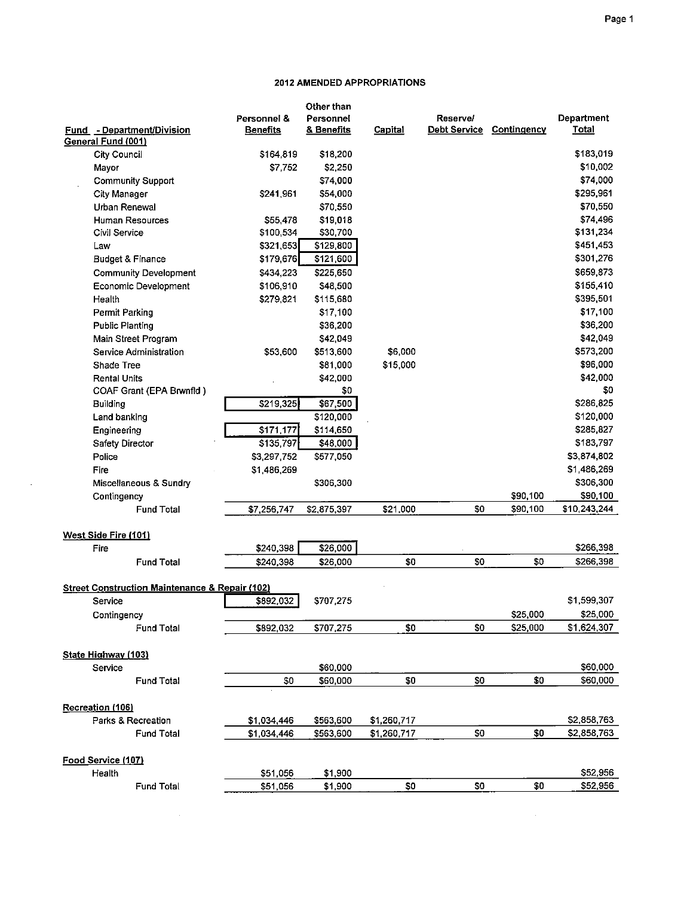## 2012 AMENDED APPROPRIATIONS

| Fund - Department/Division<br>General Fund (001) |                                                           | Personnel &<br><b>Benefits</b> | Other than<br>Personnel<br>& Benefits | <b>Capital</b> | Reserve/<br><b>Debt Service</b> | Contingency | Department<br>Total   |
|--------------------------------------------------|-----------------------------------------------------------|--------------------------------|---------------------------------------|----------------|---------------------------------|-------------|-----------------------|
| <b>City Council</b>                              |                                                           | \$164,819                      | \$18,200                              |                |                                 |             | \$183,019             |
|                                                  |                                                           | \$7,752                        | \$2,250                               |                |                                 |             | \$10,002              |
| Mayor                                            |                                                           |                                |                                       |                |                                 |             | \$74,000              |
|                                                  | <b>Community Support</b>                                  |                                | \$74,000                              |                |                                 |             | \$295,961             |
| <b>City Manager</b>                              |                                                           | \$241,961                      | \$54,000                              |                |                                 |             |                       |
| Urban Renewal                                    |                                                           |                                | \$70,550                              |                |                                 |             | \$70,550              |
| <b>Human Resources</b><br>Civil Service          |                                                           | \$55,478                       | \$19,018                              |                |                                 |             | \$74,496<br>\$131,234 |
|                                                  |                                                           | \$100,534<br>\$321,653         | \$30,700                              |                |                                 |             | \$451,453             |
| Law                                              |                                                           |                                | \$129,800                             |                |                                 |             | \$301,276             |
| Budget & Finance                                 |                                                           | \$179,676                      | \$121,600                             |                |                                 |             |                       |
|                                                  | <b>Community Development</b>                              | \$434,223                      | \$225,650                             |                |                                 |             | \$659,873             |
|                                                  | Economic Development                                      | \$106,910                      | \$48,500                              |                |                                 |             | \$155,410             |
| Health                                           |                                                           | \$279,821                      | \$115,680                             |                |                                 |             | \$395,501             |
| Permit Parking                                   |                                                           |                                | \$17,100                              |                |                                 |             | \$17,100              |
| <b>Public Planting</b>                           |                                                           |                                | \$36,200                              |                |                                 |             | \$36,200              |
|                                                  | Main Street Program                                       |                                | \$42,049                              |                |                                 |             | \$42,049              |
|                                                  | Service Administration                                    | \$53,600                       | \$513,600                             | \$6,000        |                                 |             | \$573,200             |
| Shade Tree                                       |                                                           |                                | \$81,000                              | \$15,000       |                                 |             | \$96,000              |
| <b>Rental Units</b>                              |                                                           |                                | \$42,000                              |                |                                 |             | \$42,000              |
|                                                  | COAF Grant (EPA Brwnfld)                                  |                                | \$0                                   |                |                                 |             | \$0                   |
| Building                                         |                                                           | \$219,325                      | \$67,500                              |                |                                 |             | \$286,825             |
| Land banking                                     |                                                           |                                | \$120,000                             |                |                                 |             | \$120,000             |
| Engineering                                      |                                                           | \$171,177                      | \$114,650                             |                |                                 |             | \$285,827             |
| <b>Safety Director</b>                           |                                                           | \$135,797                      | \$48,000                              |                |                                 |             | \$183,797             |
| Police                                           |                                                           | \$3,297,752                    | \$577,050                             |                |                                 |             | \$3,874,802           |
| Fire                                             |                                                           | \$1,486,269                    |                                       |                |                                 |             | \$1,486,269           |
|                                                  | Miscellaneous & Sundry                                    |                                | \$306,300                             |                |                                 |             | \$306,300             |
| Contingency                                      |                                                           |                                |                                       |                |                                 | \$90,100    | \$90,100              |
|                                                  | <b>Fund Total</b>                                         | \$7,256,747                    | \$2,875,397                           | \$21,000       | \$0                             | \$90,100    | \$10,243,244          |
| <b>West Side Fire (101)</b>                      |                                                           |                                |                                       |                |                                 |             |                       |
| Fire                                             |                                                           | \$240,398                      | \$26,000                              |                |                                 |             | \$266,398             |
|                                                  | <b>Fund Total</b>                                         | \$240,398                      | \$26,000                              | \$0            | \$0                             | \$0         | \$266,398             |
|                                                  |                                                           |                                |                                       |                |                                 |             |                       |
| Service                                          | <b>Street Construction Maintenance &amp; Repair (102)</b> | \$892,032                      | \$707,275                             |                |                                 |             | \$1,599,307           |
| Contingency                                      |                                                           |                                |                                       |                |                                 | \$25,000    | \$25,000              |
|                                                  | Fund Total                                                | \$892,032                      | \$707,275                             | \$0            | \$0                             | \$25,000    | \$1,624,307           |
| State Highway (103)                              |                                                           |                                |                                       |                |                                 |             |                       |
| Service                                          |                                                           |                                | \$60,000                              |                |                                 |             | \$60,000              |
|                                                  | <b>Fund Total</b>                                         | \$0                            | \$60,000                              | \$0            | \$0                             | \$0         | \$60,000              |
|                                                  |                                                           |                                |                                       |                |                                 |             |                       |
| Recreation (106)                                 |                                                           |                                |                                       |                |                                 |             |                       |
| Parks & Recreation                               |                                                           | \$1,034,446                    | \$563,600                             | \$1,260,717    |                                 |             | \$2,858,763           |
|                                                  | <b>Fund Total</b>                                         | \$1,034,446                    | \$563,600                             | \$1,260,717    | \$0                             | \$0         | \$2,858,763           |
| Food Service (107)                               |                                                           |                                |                                       |                |                                 |             |                       |
| Health                                           |                                                           | \$51,056                       | \$1,900                               |                |                                 |             | \$52,956              |
|                                                  | <b>Fund Total</b>                                         | \$51,056                       | \$1,900                               | \$0            | \$0                             | \$0         | \$52,956              |
|                                                  |                                                           |                                |                                       |                |                                 |             |                       |

 $\hat{\mathcal{L}}$ 

 $\sim 10^6$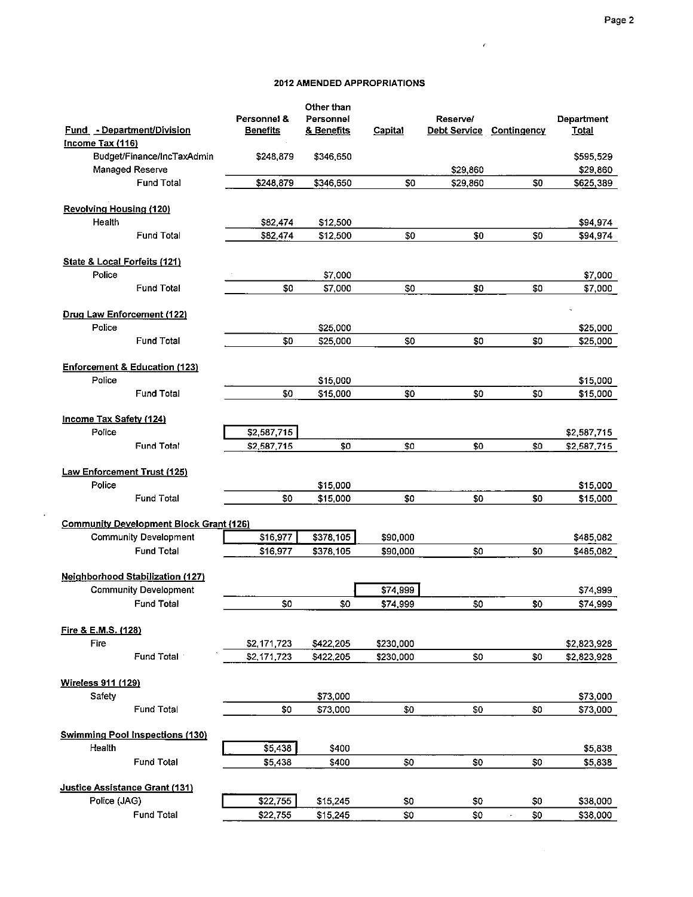$\mathcal{L}(\mathcal{L})$ 

### 2012 AMENDED APPROPRIATIONS

| <b>Fund - Department/Division</b>            |                                                | Personnel &<br><b>Benefits</b> | Other than<br>Personnel<br>& Benefits | Capital   | Reserve/<br>Debt Service Contingency |               | Department<br><b>Total</b> |
|----------------------------------------------|------------------------------------------------|--------------------------------|---------------------------------------|-----------|--------------------------------------|---------------|----------------------------|
| Income Tax (116)                             | Budget/Finance/IncTaxAdmin                     | \$248,879                      | \$346,650                             |           |                                      |               | \$595,529                  |
|                                              | Managed Reserve                                |                                |                                       |           | \$29,860                             |               | \$29,860                   |
|                                              | <b>Fund Total</b>                              | \$248,879                      | \$346,650                             | \$0       | \$29,860                             | \$0           | \$625,389                  |
|                                              |                                                |                                |                                       |           |                                      |               |                            |
| <b>Revolving Housing (120)</b><br>Health     |                                                |                                |                                       |           |                                      |               |                            |
|                                              | <b>Fund Total</b>                              | \$82,474<br>\$82,474           | \$12,500<br>\$12,500                  | \$0       | \$0                                  | \$0           | \$94,974<br>\$94,974       |
|                                              |                                                |                                |                                       |           |                                      |               |                            |
| State & Local Forfeits (121)                 |                                                |                                |                                       |           |                                      |               |                            |
| Police                                       |                                                |                                | \$7,000                               |           |                                      |               | \$7,000                    |
|                                              | <b>Fund Total</b>                              | \$0                            | \$7,000                               | \$0       | \$0                                  | \$0           | \$7,000                    |
| <b>Drug Law Enforcement (122)</b><br>Police  |                                                |                                |                                       |           |                                      |               |                            |
|                                              | <b>Fund Total</b>                              | \$0                            | \$25,000<br>\$25,000                  | \$0       | \$0                                  | \$0           | \$25,000<br>\$25,000       |
|                                              |                                                |                                |                                       |           |                                      |               |                            |
|                                              | <b>Enforcement &amp; Education (123)</b>       |                                |                                       |           |                                      |               |                            |
| Police                                       |                                                |                                | \$15,000                              |           |                                      |               | \$15,000                   |
|                                              | <b>Fund Total</b>                              | \$0                            | \$15,000                              | \$0       | \$0                                  | \$0           | \$15,000                   |
| <b>Income Tax Safety (124)</b>               |                                                |                                |                                       |           |                                      |               |                            |
| Police                                       |                                                | \$2,587,715                    |                                       |           |                                      |               | \$2,587,715                |
|                                              | <b>Fund Total</b>                              | \$2,587,715                    | \$0                                   | \$0       | \$0                                  | \$0           | \$2,587,715                |
|                                              |                                                |                                |                                       |           |                                      |               |                            |
| <b>Law Enforcement Trust (125)</b><br>Police |                                                |                                | \$15,000                              |           |                                      |               | \$15,000                   |
|                                              | <b>Fund Total</b>                              | \$0                            | \$15,000                              | \$0       | \$0                                  | \$0           | \$15,000                   |
|                                              |                                                |                                |                                       |           |                                      |               |                            |
|                                              | <b>Community Development Block Grant (126)</b> |                                |                                       |           |                                      |               |                            |
|                                              | <b>Community Development</b>                   | $\frac{1}{16.977}$             | \$378,105                             | \$90,000  |                                      |               | \$485,082                  |
|                                              | <b>Fund Total</b>                              | \$16,977                       | \$378,105                             | \$90,000  | \$0                                  | \$0           | \$485,082                  |
|                                              | <b>Neighborhood Stabilization (127)</b>        |                                |                                       |           |                                      |               |                            |
|                                              | <b>Community Development</b>                   |                                |                                       | \$74,999  |                                      |               | \$74,999                   |
|                                              | <b>Fund Total</b>                              | \$0                            | \$0                                   | \$74,999  | \$0                                  | \$0           | \$74,999                   |
|                                              |                                                |                                |                                       |           |                                      |               |                            |
| Fire & E.M.S. (128)<br>Fire                  |                                                | \$2,171,723                    | \$422,205                             | \$230,000 |                                      |               | \$2,823,928                |
|                                              | Fund Total                                     | \$2,171.723                    | \$422,205                             | \$230,000 | \$0                                  | \$0           | \$2,823,928                |
|                                              |                                                |                                |                                       |           |                                      |               |                            |
| <b>Wireless 911 (129)</b>                    |                                                |                                |                                       |           |                                      |               |                            |
| Safety                                       |                                                |                                | \$73,000                              |           |                                      |               | \$73,000                   |
|                                              | <b>Fund Total</b>                              | \$0                            | \$73,000                              | \$0       | \$0                                  | \$0           | \$73,000                   |
| Health                                       | <b>Swimming Pool Inspections (130)</b>         | \$5,438                        | \$400                                 |           |                                      |               | \$5,838                    |
|                                              | <b>Fund Total</b>                              | \$5,438                        | \$400                                 | \$0       | \$0                                  | \$0           | \$5,838                    |
|                                              |                                                |                                |                                       |           |                                      |               |                            |
| Justice Assistance Grant (131)               |                                                |                                |                                       |           |                                      |               |                            |
| Police (JAG)                                 |                                                | \$22,755                       | \$15,245                              | \$0       | \$0                                  | \$0           | \$38,000                   |
|                                              | <b>Fund Total</b>                              | \$22,755                       | \$15,245                              | \$0       | \$0                                  | \$0<br>$\sim$ | \$38,000                   |

 $\sim$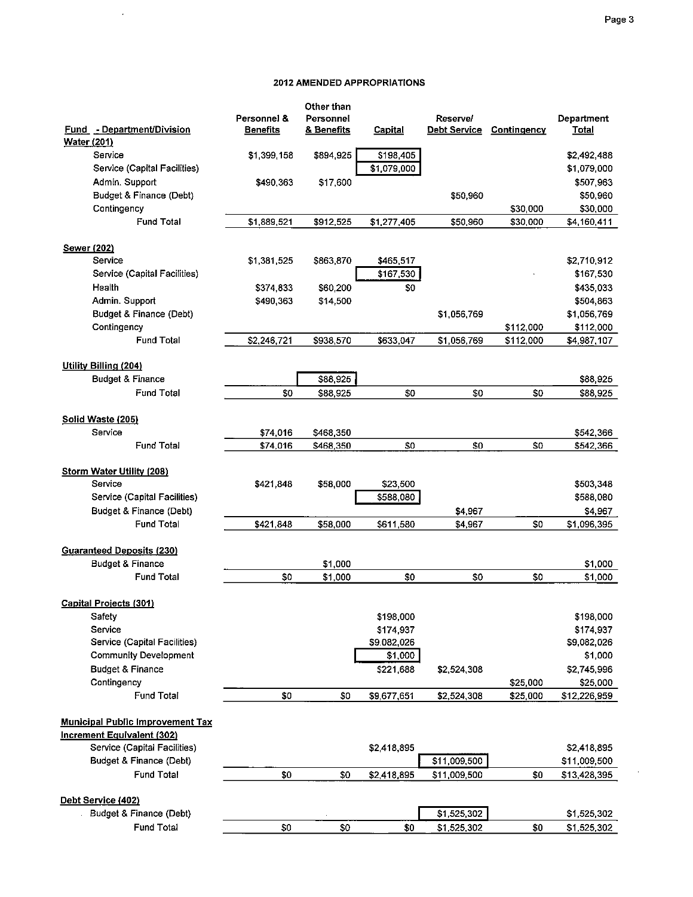# 2012 AMENDED APPROPRIATIONS

 $\sim 10$ 

| <b>Fund</b> - Department/Division            | Personnel &<br><b>Benefits</b> | Other than<br>Personnel<br>& Benefits | <b>Capital</b> | Reserve/<br><b>Debt Service</b> | Contingency | Department<br>Total |
|----------------------------------------------|--------------------------------|---------------------------------------|----------------|---------------------------------|-------------|---------------------|
| <b>Water (201)</b>                           |                                |                                       |                |                                 |             |                     |
| Service                                      | \$1,399,158                    | \$894,925                             | \$198,405      |                                 |             | \$2,492,488         |
| Service (Capital Facilities)                 |                                |                                       | \$1,079,000    |                                 |             | \$1,079,000         |
| Admin. Support                               | \$490,363                      | \$17,600                              |                |                                 |             | \$507,963           |
| Budget & Finance (Debt)                      |                                |                                       |                | \$50,960                        |             | \$50,960            |
| Contingency                                  |                                |                                       |                |                                 | \$30,000    | \$30,000            |
| <b>Fund Total</b>                            | \$1.889.521                    | \$912,525                             | \$1,277,405    | \$50,960                        | \$30,000    | \$4,160,411         |
|                                              |                                |                                       |                |                                 |             |                     |
| <b>Sewer (202)</b><br>Service                | \$1,381,525                    | \$863,870                             | \$465,517      |                                 |             | \$2,710,912         |
| Service (Capital Facilities)                 |                                |                                       | \$167,530      |                                 |             | \$167,530           |
| Health                                       | \$374,833                      | \$60,200                              | \$0            |                                 |             | \$435,033           |
| Admin. Support                               | \$490,363                      | \$14,500                              |                |                                 |             | \$504,863           |
| Budget & Finance (Debt)                      |                                |                                       |                | \$1,056,769                     |             | \$1,056,769         |
| Contingency                                  |                                |                                       |                |                                 | \$112,000   | \$112,000           |
| <b>Fund Total</b>                            | \$2,246,721                    | \$938,570                             | \$633,047      | \$1,056,769                     | \$112,000   | \$4,987,107         |
|                                              |                                |                                       |                |                                 |             |                     |
| Utility Billing (204)                        |                                |                                       |                |                                 |             |                     |
| <b>Budget &amp; Finance</b>                  |                                | \$88,925                              |                |                                 |             | \$88,925            |
| <b>Fund Total</b>                            | \$0                            | \$88,925                              | \$0            | \$0                             | \$0         | \$88,925            |
|                                              |                                |                                       |                |                                 |             |                     |
| Solid Waste (205)                            |                                |                                       |                |                                 |             |                     |
| Service                                      | \$74,016                       | \$468,350                             |                |                                 |             | \$542,366           |
| <b>Fund Total</b>                            | \$74,016                       | \$468,350                             | \$0            | \$0                             | \$0         | \$542,366           |
|                                              |                                |                                       |                |                                 |             |                     |
| <b>Storm Water Utility (208)</b>             |                                |                                       |                |                                 |             |                     |
| Service                                      | \$421,848                      | \$58,000                              | \$23,500       |                                 |             | \$503,348           |
| Service (Capital Facilities)                 |                                |                                       | \$588,080      |                                 |             | \$588,080           |
| Budget & Finance (Debt)<br><b>Fund Total</b> |                                |                                       |                | \$4,967                         |             | \$4,967             |
|                                              | \$421,848                      | \$58,000                              | \$611,580      | \$4,967                         | \$0         | \$1,096,395         |
| <b>Guaranteed Deposits (230)</b>             |                                |                                       |                |                                 |             |                     |
| <b>Budget &amp; Finance</b>                  |                                | \$1,000                               |                |                                 |             | \$1,000             |
| <b>Fund Total</b>                            | \$0                            | \$1,000                               | \$0            | \$0                             | \$0         | \$1,000             |
|                                              |                                |                                       |                |                                 |             |                     |
| <b>Capital Projects (301)</b>                |                                |                                       |                |                                 |             |                     |
| Safety                                       |                                |                                       | \$198,000      |                                 |             | \$198,000           |
| Service                                      |                                |                                       | \$174,937      |                                 |             | \$174,937           |
| Service (Capital Facilities)                 |                                |                                       | \$9,082,026    |                                 |             | \$9,082,026         |
| <b>Community Development</b>                 |                                |                                       | \$1,000        |                                 |             | \$1,000             |
| <b>Budget &amp; Finance</b>                  |                                |                                       | \$221,688      | \$2,524,308                     |             | \$2,745,996         |
| Contingency                                  |                                |                                       |                |                                 | \$25,000    | \$25,000            |
| Fund Total                                   | \$0                            | \$0                                   | \$9,677,651    | \$2,524,308                     | \$25,000    | \$12,226,959        |
| <b>Municipal Public Improvement Tax</b>      |                                |                                       |                |                                 |             |                     |
| <b>Increment Equivalent (302)</b>            |                                |                                       |                |                                 |             |                     |
| Service (Capital Facilities)                 |                                |                                       | \$2,418,895    |                                 |             | \$2,418,895         |
| Budget & Finance (Debt)                      |                                |                                       |                | \$11,009,500                    |             | \$11,009,500        |
| <b>Fund Total</b>                            | \$0                            | \$0                                   | \$2,418,895    | \$11,009,500                    | \$0         | \$13,428,395        |
| Debt Service (402)                           |                                |                                       |                |                                 |             |                     |
| Budget & Finance (Debt)                      |                                |                                       |                | \$1,525,302                     |             | \$1,525,302         |
| <b>Fund Total</b>                            | \$0                            | \$0                                   | \$0            | \$1,525,302                     | \$0         | \$1,525,302         |

 $\ddot{\phantom{0}}$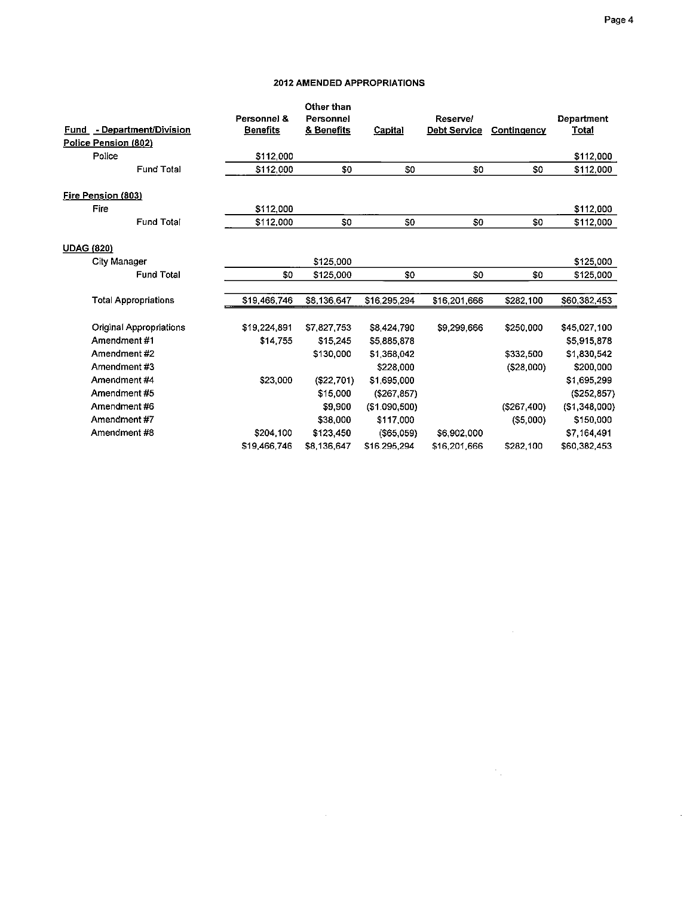### 2012 AMENDED APPROPRIATIONS

| Fund - Department/Division<br>Police Pension (802) | Personnel &<br><b>Benefits</b> | Other than<br>Personnel<br>& Benefits | Capital       | Reservel<br><b>Debt Service</b> | Contingency | Department<br>Total |
|----------------------------------------------------|--------------------------------|---------------------------------------|---------------|---------------------------------|-------------|---------------------|
| Police                                             | \$112,000                      |                                       |               |                                 |             | \$112,000           |
| <b>Fund Total</b>                                  | \$112,000                      | \$0                                   | \$0           | \$0                             | \$0         | \$112,000           |
| Fire Pension (803)                                 |                                |                                       |               |                                 |             |                     |
| Fire                                               | \$112,000                      |                                       |               |                                 |             | \$112,000           |
| <b>Fund Total</b>                                  | \$112,000                      | \$0                                   | \$0           | \$0                             | \$0         | \$112,000           |
| <b>UDAG (820)</b>                                  |                                |                                       |               |                                 |             |                     |
| <b>City Manager</b>                                |                                | \$125,000                             |               |                                 |             | \$125,000           |
| <b>Fund Total</b>                                  | \$0                            | \$125,000                             | \$0           | \$0                             | \$0         | \$125,000           |
| <b>Total Appropriations</b>                        | \$19,466,746                   | \$8,136,647                           | \$16,295,294  | \$16,201,666                    | \$282,100   | \$60,382,453        |
| <b>Original Appropriations</b>                     | \$19,224,891                   | \$7,827,753                           | \$8,424,790   | \$9,299,666                     | \$250,000   | \$45,027,100        |
| Amendment#1                                        | \$14,755                       | \$15,245                              | \$5,885,878   |                                 |             | \$5,915,878         |
| Amendment #2                                       |                                | \$130,000                             | \$1,368,042   |                                 | \$332,500   | \$1,830,542         |
| Amendment #3                                       |                                |                                       | \$228,000     |                                 | ( \$28,000) | \$200,000           |
| Amendment #4                                       | \$23,000                       | (\$22,701)                            | \$1,695,000   |                                 |             | \$1,695,299         |
| Amendment#5                                        |                                | \$15,000                              | (\$267.857)   |                                 |             | (\$252,857)         |
| Amendment #6                                       |                                | \$9.900                               | (\$1,090,500) |                                 | (\$267,400) | ( \$1,348,000)      |
| Amendment #7                                       |                                | \$38,000                              | \$117,000     |                                 | ( \$5,000)  | \$150,000           |
| Amendment #8                                       | \$204,100                      | \$123.450                             | (\$65.059)    | \$6,902,000                     |             | \$7,164,491         |
|                                                    | \$19,466,746                   | \$8,136,647                           | \$16,295,294  | \$16,201,666                    | \$282,100   | \$60,382,453        |

 $\label{eq:2.1} \frac{1}{\sqrt{2}}\left(\frac{1}{\sqrt{2}}\right)^{2} \left(\frac{1}{\sqrt{2}}\right)^{2} \left(\frac{1}{\sqrt{2}}\right)^{2} \left(\frac{1}{\sqrt{2}}\right)^{2} \left(\frac{1}{\sqrt{2}}\right)^{2} \left(\frac{1}{\sqrt{2}}\right)^{2} \left(\frac{1}{\sqrt{2}}\right)^{2} \left(\frac{1}{\sqrt{2}}\right)^{2} \left(\frac{1}{\sqrt{2}}\right)^{2} \left(\frac{1}{\sqrt{2}}\right)^{2} \left(\frac{1}{\sqrt{2}}\right)^{2} \left(\$ 

 $\mathcal{L} = \mathcal{L}_{\text{max}}$  .

 $\sim$